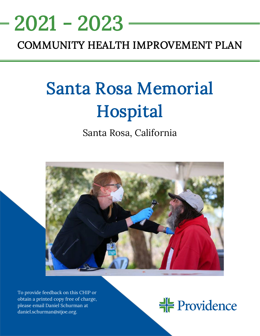# 2021 - 2023

# COMMUNITY HEALTH IMPROVEMENT PLAN

<u>NEEDS ASSESSMENT ASSESSMENT ASSESS</u>

# Santa Rosa Memorial Hospital

Santa Rosa, California



To provide feedback on this CHIP or obtain a printed copy free of charge, please email Daniel Schurman at daniel.schurman@stjoe.org.

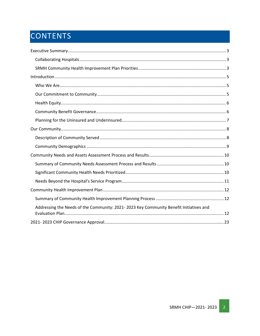# CONTENTS

| Addressing the Needs of the Community: 2021-2023 Key Community Benefit Initiatives and |
|----------------------------------------------------------------------------------------|
|                                                                                        |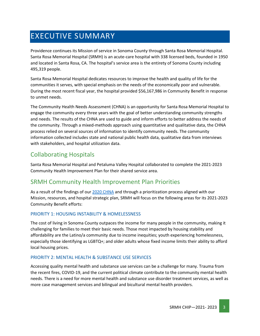# <span id="page-2-0"></span>EXECUTIVE SUMMARY

Providence continues its Mission of service in Sonoma County through Santa Rosa Memorial Hospital. Santa Rosa Memorial Hospital (SRMH) is an acute-care hospital with 338 licensed beds, founded in 1950 and located in Santa Rosa, CA. The hospital's service area is the entirety of Sonoma County including 495,319 people.

Santa Rosa Memorial Hospital dedicates resources to improve the health and quality of life for the communities it serves, with special emphasis on the needs of the economically poor and vulnerable. During the most recent fiscal year, the hospital provided \$56,167,986 in Community Benefit in response to unmet needs.

The Community Health Needs Assessment (CHNA) is an opportunity for Santa Rosa Memorial Hospital to engage the community every three years with the goal of better understanding community strengths and needs. The results of the CHNA are used to guide and inform efforts to better address the needs of the community. Through a mixed-methods approach using quantitative and qualitative data, the CHNA process relied on several sources of information to identify community needs. The community information collected includes state and national public health data, qualitative data from interviews with stakeholders, and hospital utilization data.

## <span id="page-2-1"></span>Collaborating Hospitals

Santa Rosa Memorial Hospital and Petaluma Valley Hospital collaborated to complete the 2021-2023 Community Health Improvement Plan for their shared service area.

### <span id="page-2-2"></span>SRMH Community Health Improvement Plan Priorities

As a result of the findings of our [2020 CHNA](https://www.providence.org/about/annual-report/chna-and-chip-reports) and through a prioritization process aligned with our Mission, resources, and hospital strategic plan, SRMH will focus on the following areas for its 2021-2023 Community Benefit efforts:

#### PRIORITY 1: HOUSING INSTABILITY & HOMELESSNESS

The cost of living in Sonoma County outpaces the income for many people in the community, making it challenging for families to meet their basic needs. Those most impacted by housing stability and affordability are the Latino/a community due to income inequities; youth experiencing homelessness, especially those identifying as LGBTQ+; and older adults whose fixed income limits their ability to afford local housing prices.

#### PRIORITY 2: MENTAL HEALTH & SUBSTANCE USE SERVICES

Accessing quality mental health and substance use services can be a challenge for many. Trauma from the recent fires, COVID-19, and the current political climate contribute to the community mental health needs. There is a need for more mental health and substance use disorder treatment services, as well as more case management services and bilingual and bicultural mental health providers.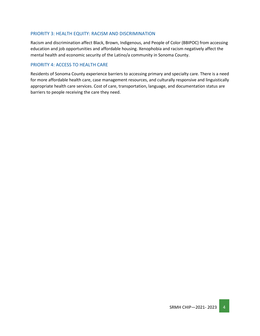#### PRIORITY 3: HEALTH EQUITY: RACISM AND DISCRIMINATION

Racism and discrimination affect Black, Brown, Indigenous, and People of Color (BBIPOC) from accessing education and job opportunities and affordable housing. Xenophobia and racism negatively affect the mental health and economic security of the Latino/a community in Sonoma County.

#### PRIORITY 4: ACCESS TO HEALTH CARE

Residents of Sonoma County experience barriers to accessing primary and specialty care. There is a need for more affordable health care, case management resources, and culturally responsive and linguistically appropriate health care services. Cost of care, transportation, language, and documentation status are barriers to people receiving the care they need.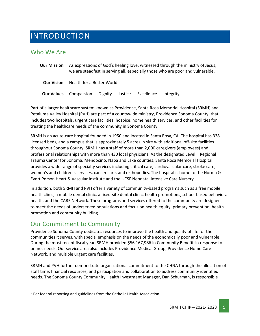# <span id="page-4-0"></span>INTRODUCTION

### <span id="page-4-1"></span>Who We Are

| <b>Our Mission</b> | As expressions of God's healing love, witnessed through the ministry of Jesus,<br>we are steadfast in serving all, especially those who are poor and vulnerable. |
|--------------------|------------------------------------------------------------------------------------------------------------------------------------------------------------------|
| <b>Our Vision</b>  | Health for a Better World.                                                                                                                                       |
| <b>Our Values</b>  | Compassion — Dignity — Justice — Excellence — Integrity                                                                                                          |

Part of a larger healthcare system known as Providence, Santa Rosa Memorial Hospital (SRMH) and Petaluma Valley Hospital (PVH) are part of a countywide ministry, Providence Sonoma County, that includes two hospitals, urgent care facilities, hospice, home health services, and other facilities for treating the healthcare needs of the community in Sonoma County.

SRMH is an acute-care hospital founded in 1950 and located in Santa Rosa, CA. The hospital has 338 licensed beds, and a campus that is approximately 5 acres in size with additional off-site facilities throughout Sonoma County. SRMH has a staff of more than 2,000 caregivers (employees) and professional relationships with more than 430 local physicians. As the designated Level II Regional Trauma Center for Sonoma, Mendocino, Napa and Lake counties, Santa Rosa Memorial Hospital provides a wide range of specialty services including critical care, cardiovascular care, stroke care, women's and children's services, cancer care, and orthopedics. The hospital is home to the Norma & Evert Person Heart & Vascular Institute and the UCSF Neonatal Intensive Care Nursery.

In addition, both SRMH and PVH offer a variety of community-based programs such as a free mobile health clinic, a mobile dental clinic, a fixed-site dental clinic, health promotions, school-based behavioral health, and the CARE Network. These programs and services offered to the community are designed to meet the needs of underserved populations and focus on health equity, primary prevention, health promotion and community building.

### <span id="page-4-2"></span>Our Commitment to Community

Providence Sonoma County dedicates resources to improve the health and quality of life for the communities it serves, with special emphasis on the needs of the economically poor and vulnerable. During the most recent fiscal year, SRMH provided \$56,167,986 in Community Benefit<sup>1</sup> in response to unmet needs. Our service area also includes Providence Medical Group, Providence Home Care Network, and multiple urgent care facilities.

SRMH and PVH further demonstrate organizational commitment to the CHNA through the allocation of staff time, financial resources, and participation and collaboration to address community identified needs. The Sonoma County Community Health Investment Manager, Dan Schurman, is responsible

 $<sup>1</sup>$  Per federal reporting and guidelines from the Catholic Health Association.</sup>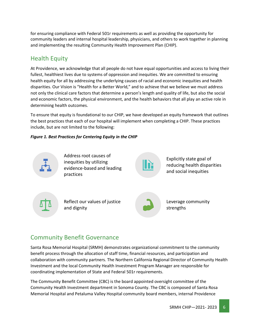for ensuring compliance with Federal 501r requirements as well as providing the opportunity for community leaders and internal hospital leadership, physicians, and others to work together in planning and implementing the resulting Community Health Improvement Plan (CHIP).

# <span id="page-5-0"></span>Health Equity

At Providence, we acknowledge that all people do not have equal opportunities and access to living their fullest, healthiest lives due to systems of oppression and inequities. We are committed to ensuring health equity for all by addressing the underlying causes of racial and economic inequities and health disparities. Our Vision is "Health for a Better World," and to achieve that we believe we must address not only the clinical care factors that determine a person's length and quality of life, but also the social and economic factors, the physical environment, and the health behaviors that all play an active role in determining health outcomes.

To ensure that equity is foundational to our CHIP, we have developed an equity framework that outlines the best practices that each of our hospital will implement when completing a CHIP. These practices include, but are not limited to the following:

#### *Figure 1. Best Practices for Centering Equity in the CHIP*



Address root causes of inequities by utilizing evidence-based and leading practices

Explicitly state goal of reducing health disparities and social inequities



Reflect our values of justice and dignity



Leverage community strengths

# <span id="page-5-1"></span>Community Benefit Governance

Santa Rosa Memorial Hospital (SRMH) demonstrates organizational commitment to the community benefit process through the allocation of staff time, financial resources, and participation and collaboration with community partners. The Northern California Regional Director of Community Health Investment and the local Community Health Investment Program Manager are responsible for coordinating implementation of State and Federal 501r requirements.

The Community Benefit Committee (CBC) is the board appointed oversight committee of the Community Health Investment department in Sonoma County. The CBC is composed of Santa Rosa Memorial Hospital and Petaluma Valley Hospital community board members, internal Providence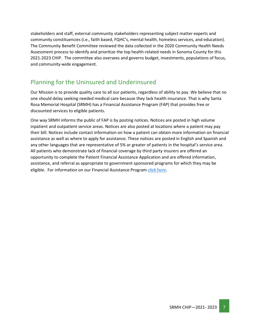stakeholders and staff, external community stakeholders representing subject matter experts and community constituencies (i.e., faith based, FQHC's, mental health, homeless services, and education). The Community Benefit Committee reviewed the data collected in the 2020 Community Health Needs Assessment process to identify and prioritize the top health-related needs in Sonoma County for this 2021-2023 CHIP. The committee also oversees and governs budget, investments, populations of focus, and community-wide engagement.

### <span id="page-6-0"></span>Planning for the Uninsured and Underinsured

Our Mission is to provide quality care to all our patients, regardless of ability to pay. We believe that no one should delay seeking needed medical care because they lack health insurance. That is why Santa Rosa Memorial Hospital (SRMH) has a Financial Assistance Program (FAP) that provides free or discounted services to eligible patients.

One way SRMH informs the public of FAP is by posting notices. Notices are posted in high volume inpatient and outpatient service areas. Notices are also posted at locations where a patient may pay their bill. Notices include contact information on how a patient can obtain more information on financial assistance as well as where to apply for assistance. These notices are posted in English and Spanish and any other languages that are representative of 5% or greater of patients in the hospital's service area. All patients who demonstrate lack of financial coverage by third party insurers are offered an opportunity to complete the Patient Financial Assistance Application and are offered information, assistance, and referral as appropriate to government sponsored programs for which they may be eligible. For information on our Financial Assistance Program [click](https://www.stjosephhealth.org/patients-visitors/billing-payment/) [here](https://www.stjosephhealth.org/patients-visitors/billing-payment/).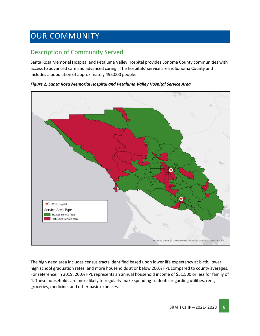# <span id="page-7-0"></span>OUR COMMUNITY

# <span id="page-7-1"></span>Description of Community Served

Santa Rosa Memorial Hospital and Petaluma Valley Hospital provides Sonoma County communities with access to advanced care and advanced caring. The hospitals' service area is Sonoma County and includes a population of approximately 495,000 people.

*Figure 2. Santa Rosa Memorial Hospital and Petaluma Valley Hospital Service Area*



The high need area includes census tracts identified based upon lower life expectancy at birth, lower high school graduation rates, and more households at or below 200% FPL compared to county averages. For reference, in 2019, 200% FPL represents an annual household income of \$51,500 or less for family of 4. These households are more likely to regularly make spending tradeoffs regarding utilities, rent, groceries, medicine, and other basic expenses.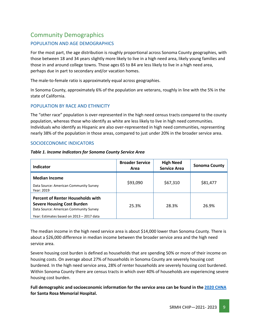## <span id="page-8-0"></span>Community Demographics

#### POPULATION AND AGE DEMOGRAPHICS

For the most part, the age distribution is roughly proportional across Sonoma County geographies, with those between 18 and 34 years slightly more likely to live in a high need area, likely young families and those in and around college towns. Those ages 65 to 84 are less likely to live in a high need area, perhaps due in part to secondary and/or vacation homes.

The male-to-female ratio is approximately equal across geographies.

In Sonoma County, approximately 6% of the population are veterans, roughly in line with the 5% in the state of California.

#### POPULATION BY RACE AND ETHNICITY

The "other race" population is over-represented in the high need census tracts compared to the county population, whereas those who identify as white are less likely to live in high need communities. Individuals who identify as Hispanic are also over-represented in high need communities, representing nearly 38% of the population in those areas, compared to just under 20% in the broader service area.

#### SOCIOECONOMIC INDICATORS

| Table 1. Income Indicators for Sonoma County Service Area |  |  |  |
|-----------------------------------------------------------|--|--|--|
|                                                           |  |  |  |

| Indicator                                                                                                                                                            | <b>Broader Service</b><br>Area | <b>High Need</b><br><b>Service Area</b> | <b>Sonoma County</b> |
|----------------------------------------------------------------------------------------------------------------------------------------------------------------------|--------------------------------|-----------------------------------------|----------------------|
| <b>Median Income</b><br>Data Source: American Community Survey<br>Year: 2019                                                                                         | \$93,090                       | \$67,310                                | \$81,477             |
| <b>Percent of Renter Households with</b><br><b>Severe Housing Cost Burden</b><br>Data Source: American Community Survey<br>Year: Estimates based on 2013 - 2017 data | 25.3%                          | 28.3%                                   | 26.9%                |

The median income in the high need service area is about \$14,000 lower than Sonoma County. There is about a \$26,000 difference in median income between the broader service area and the high need service area.

Severe housing cost burden is defined as households that are spending 50% or more of their income on housing costs. On average about 27% of households in Sonoma County are severely housing cost burdened. In the high need service area, 28% of renter households are severely housing cost burdened. Within Sonoma County there are census tracts in which over 40% of households are experiencing severe housing cost burden.

**Full demographic and socioeconomic information for the service area can be found in the [2020 CHNA](https://www.providence.org/about/annual-report/chna-and-chip-reports) for Santa Rosa Memorial Hospital.**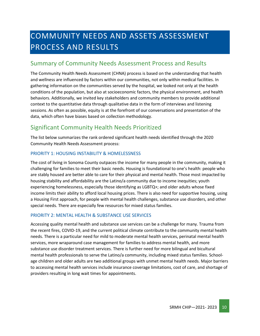# <span id="page-9-0"></span>COMMUNITY NEEDS AND ASSETS ASSESSMENT PROCESS AND RESULTS

### <span id="page-9-1"></span>Summary of Community Needs Assessment Process and Results

The Community Health Needs Assessment (CHNA) process is based on the understanding that health and wellness are influenced by factors within our communities, not only within medical facilities. In gathering information on the communities served by the hospital, we looked not only at the health conditions of the population, but also at socioeconomic factors, the physical environment, and health behaviors. Additionally, we invited key stakeholders and community members to provide additional context to the quantitative data through qualitative data in the form of interviews and listening sessions. As often as possible, equity is at the forefront of our conversations and presentation of the data, which often have biases based on collection methodology.

## <span id="page-9-2"></span>Significant Community Health Needs Prioritized

The list below summarizes the rank ordered significant health needs identified through the 2020 Community Health Needs Assessment process:

#### PRIORITY 1: HOUSING INSTABILITY & HOMELESSNESS

The cost of living in Sonoma County outpaces the income for many people in the community, making it challenging for families to meet their basic needs. Housing is foundational to one's health: people who are stably housed are better able to care for their physical and mental health. Those most impacted by housing stability and affordability are the Latino/a community due to income inequities; youth experiencing homelessness, especially those identifying as LGBTQ+; and older adults whose fixed income limits their ability to afford local housing prices. There is also need for supportive housing, using a Housing First approach, for people with mental health challenges, substance use disorders, and other special needs. There are especially few resources for mixed status families.

#### PRIORITY 2: MENTAL HEALTH & SUBSTANCE USE SERVICES

Accessing quality mental health and substance use services can be a challenge for many. Trauma from the recent fires, COVID-19, and the current political climate contribute to the community mental health needs. There is a particular need for mild to moderate mental health services, perinatal mental health services, more wraparound case management for families to address mental health, and more substance use disorder treatment services. There is further need for more bilingual and bicultural mental health professionals to serve the Latino/a community, including mixed status families. Schoolage children and older adults are two additional groups with unmet mental health needs. Major barriers to accessing mental health services include insurance coverage limitations, cost of care, and shortage of providers resulting in long wait times for appointments.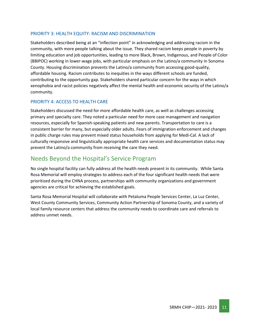#### PRIORITY 3: HEALTH EQUITY: RACISM AND DISCRIMINATION

Stakeholders described being at an "inflection point" in acknowledging and addressing racism in the community, with more people talking about the issue. They shared racism keeps people in poverty by limiting education and job opportunities, leading to more Black, Brown, Indigenous, and People of Color (BBIPOC) working in lower-wage jobs, with particular emphasis on the Latino/a community in Sonoma County. Housing discrimination prevents the Latino/a community from accessing good-quality, affordable housing. Racism contributes to inequities in the ways different schools are funded, contributing to the opportunity gap. Stakeholders shared particular concern for the ways in which xenophobia and racist policies negatively affect the mental health and economic security of the Latino/a community.

#### PRIORITY 4: ACCESS TO HEALTH CARE

Stakeholders discussed the need for more affordable health care, as well as challenges accessing primary and specialty care. They noted a particular need for more case management and navigation resources, especially for Spanish-speaking patients and new parents. Transportation to care is a consistent barrier for many, but especially older adults. Fears of immigration enforcement and changes in public charge rules may prevent mixed status households from applying for Medi-Cal. A lack of culturally responsive and linguistically appropriate health care services and documentation status may prevent the Latino/a community from receiving the care they need.

### <span id="page-10-0"></span>Needs Beyond the Hospital's Service Program

No single hospital facility can fully address all the health needs present in its community. While Santa Rosa Memorial will employ strategies to address each of the four significant health needs that were prioritized during the CHNA process, partnerships with community organizations and government agencies are critical for achieving the established goals.

Santa Rosa Memorial Hospital will collaborate with Petaluma People Services Center, La Luz Center, West County Community Services, Community Action Partnership of Sonoma County, and a variety of local family resource centers that address the community needs to coordinate care and referrals to address unmet needs.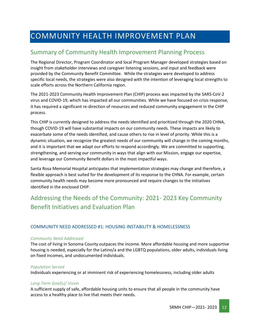# <span id="page-11-0"></span>COMMUNITY HEALTH IMPROVEMENT PLAN

## <span id="page-11-1"></span>Summary of Community Health Improvement Planning Process

The Regional Director, Program Coordinator and local Program Manager developed strategies based on insight from stakeholder interviews and caregiver listening sessions, and input and feedback were provided by the Community Benefit Committee. While the strategies were developed to address specific local needs, the strategies were also designed with the intention of leveraging local strengths to scale efforts across the Northern California region.

The 2021-2023 Community Health Improvement Plan (CHIP) process was impacted by the SARS-CoV-2 virus and COVID-19, which has impacted all our communities. While we have focused on crisis response, it has required a significant re-direction of resources and reduced community engagement in the CHIP process.

This CHIP is currently designed to address the needs identified and prioritized through the 2020 CHNA, though COVID-19 will have substantial impacts on our community needs. These impacts are likely to exacerbate some of the needs identified, and cause others to rise in level of priority. While this is a dynamic situation, we recognize the greatest needs of our community will change in the coming months, and it is important that we adapt our efforts to respond accordingly. We are committed to supporting, strengthening, and serving our community in ways that align with our Mission, engage our expertise, and leverage our Community Benefit dollars in the most impactful ways.

Santa Rosa Memorial Hospital anticipates that implementation strategies may change and therefore, a flexible approach is best suited for the development of its response to the CHNA. For example, certain community health needs may become more pronounced and require changes to the initiatives identified in the enclosed CHIP.

# <span id="page-11-2"></span>Addressing the Needs of the Community: 2021- 2023 Key Community Benefit Initiatives and Evaluation Plan

#### COMMUNITY NEED ADDRESSED #1: HOUSING INSTABILITY & HOMELESSNESS

#### *Community Need Addressed*

The cost of living in Sonoma County outpaces the income. More affordable housing and more supportive housing is needed, especially for the Latino/a and the LGBTQ populations, older adults, individuals living on fixed incomes, and undocumented individuals.

#### *Population Served*

Individuals experiencing or at imminent risk of experiencing homelessness, including older adults

#### *Long-Term Goal(s)/ Vision*

A sufficient supply of safe, affordable housing units to ensure that all people in the community have access to a healthy place to live that meets their needs.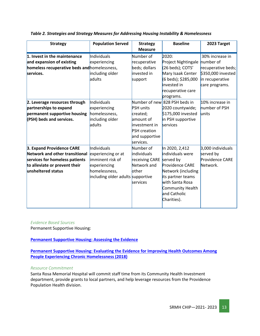| <b>Strategy</b>                                                                                                                                      | <b>Population Served</b>                                                                                                    | <b>Strategy</b><br><b>Measure</b>                                                               | <b>Baseline</b>                                                                                                                                                        | 2023 Target                                                                                |
|------------------------------------------------------------------------------------------------------------------------------------------------------|-----------------------------------------------------------------------------------------------------------------------------|-------------------------------------------------------------------------------------------------|------------------------------------------------------------------------------------------------------------------------------------------------------------------------|--------------------------------------------------------------------------------------------|
| 1. Invest in the maintenance                                                                                                                         | Individuals                                                                                                                 | Number of                                                                                       | 2020:                                                                                                                                                                  | 30% increase in                                                                            |
| and expansion of existing<br>homeless recuperative beds and homelessness,<br>services.                                                               | experiencing<br>including older<br>adults                                                                                   | recuperative<br>beds; dollars<br>invested in<br>support                                         | Project Nightingale<br>(26 beds); COTS'<br>Mary Isaak Center<br>(6 beds); \$285,000<br>invested in<br>recuperative care                                                | number of<br>recuperative beds;<br>\$350,000 invested<br>in recuperative<br>care programs. |
| 2. Leverage resources through                                                                                                                        | Individuals                                                                                                                 |                                                                                                 | programs.<br>Number of new 828 PSH beds in                                                                                                                             | 10% increase in                                                                            |
| partnerships to expand<br>permanent supportive housing                                                                                               | experiencing<br>homelessness,                                                                                               | <b>PSH</b> units<br>created;                                                                    | 2020 countywide;<br>\$175,000 invested                                                                                                                                 | number of PSH<br>lunits                                                                    |
| (PSH) beds and services.                                                                                                                             | including older<br>adults                                                                                                   | amount of<br>investment in<br><b>PSH</b> creation<br>and supportive<br>services.                | in PSH supportive<br>services                                                                                                                                          |                                                                                            |
| 3. Expand Providence CARE<br>Network and other transitional<br>services for homeless patients<br>to alleviate or prevent their<br>unsheltered status | Individuals<br>experiencing or at<br>imminent risk of<br>experiencing<br>homelessness,<br>including older adults supportive | Number of<br><b>individuals</b><br>receiving CARE served by<br>Network and<br>other<br>services | In 2020, 2,412<br>individuals were<br>Providence CARE<br>Network (including<br>its partner teams<br>with Santa Rosa<br>Community Health<br>and Catholic<br>Charities). | 3,000 individuals<br>served by<br>Providence CARE<br>Network.                              |

*Table 2. Strategies and Strategy Measures for Addressing Housing Instability & Homelessness*

#### *Evidence Based Sources*

Permanent Supportive Housing:

#### **[Permanent Supportive Housing: Assessing the Evidence](https://ps.psychiatryonline.org/doi/full/10.1176/appi.ps.201300261)**

**[Permanent Supportive Housing: Evaluating the Evidence for Improving Health Outcomes Among](https://books.google.com/books?hl=en&lr=&id=v-BjDwAAQBAJ&oi=fnd&pg=PR1&dq=evidence-based+best+practices+permanent+supportive+housing&ots=GtL-BO6V4O&sig=b_2OXrwUdXZXvYHWF8ZrYPkFPVg#v=onepage&q=evidence-based%20best%20practices%20permanent%20supportive%20housing&f=false)  [People Experiencing Chronic Homelessness \(2018\)](https://books.google.com/books?hl=en&lr=&id=v-BjDwAAQBAJ&oi=fnd&pg=PR1&dq=evidence-based+best+practices+permanent+supportive+housing&ots=GtL-BO6V4O&sig=b_2OXrwUdXZXvYHWF8ZrYPkFPVg#v=onepage&q=evidence-based%20best%20practices%20permanent%20supportive%20housing&f=false)**

#### *Resource Commitment*

Santa Rosa Memorial Hospital will commit staff time from its Community Health Investment department, provide grants to local partners, and help leverage resources from the Providence Population Health division.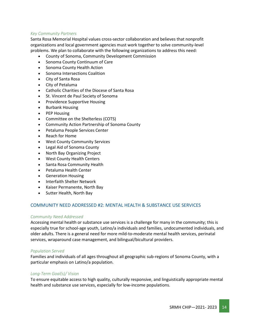#### *Key Community Partners*

Santa Rosa Memorial Hospital values cross-sector collaboration and believes that nonprofit organizations and local government agencies must work together to solve community-level problems. We plan to collaborate with the following organizations to address this need:

- County of Sonoma, Community Development Commission
- Sonoma County Continuum of Care
- Sonoma County Health Action
- Sonoma Intersections Coalition
- City of Santa Rosa
- City of Petaluma
- Catholic Charities of the Diocese of Santa Rosa
- St. Vincent de Paul Society of Sonoma
- Providence Supportive Housing
- Burbank Housing
- PEP Housing
- Committee on the Shelterless (COTS)
- Community Action Partnership of Sonoma County
- Petaluma People Services Center
- Reach for Home
- West County Community Services
- Legal Aid of Sonoma County
- North Bay Organizing Project
- West County Health Centers
- Santa Rosa Community Health
- Petaluma Health Center
- Generation Housing
- Interfaith Shelter Network
- Kaiser Permanente, North Bay
- Sutter Health, North Bay

#### COMMUNITY NEED ADDRESSED #2: MENTAL HEALTH & SUBSTANCE USE SERVICES

#### *Community Need Addressed*

Accessing mental health or substance use services is a challenge for many in the community; this is especially true for school-age youth, Latino/a individuals and families, undocumented individuals, and older adults. There is a general need for more mild-to-moderate mental health services, perinatal services, wraparound case management, and bilingual/bicultural providers.

#### *Population Served*

Families and individuals of all ages throughout all geographic sub-regions of Sonoma County, with a particular emphasis on Latino/a population.

#### *Long-Term Goal(s)/ Vision*

To ensure equitable access to high quality, culturally responsive, and linguistically appropriate mental health and substance use services, especially for low-income populations.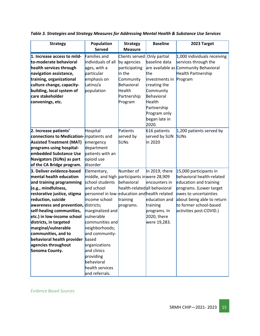| <b>Strategy</b>                      | <b>Population</b>                             | <b>Strategy</b>              | <b>Baseline</b>        | 2023 Target                           |
|--------------------------------------|-----------------------------------------------|------------------------------|------------------------|---------------------------------------|
|                                      | <b>Served</b>                                 | <b>Measure</b>               |                        |                                       |
| 1. Increase access to mild-          | Families and                                  | Clients served               | Only partial           | $1,000$ individuals receiving         |
| to-moderate behavioral               | individuals of all                            | by agencies                  | baseline data          | services through the                  |
| health services through              | ages, with a                                  | participating                |                        | are available as Community Behavioral |
| navigation assistance,               | particular                                    | in the                       | the                    | Health Partnership                    |
| training, organizational             | emphasis on                                   | Community                    | investments in Program |                                       |
| culture change, capacity-            | Latino/a                                      | Behavioral                   | creating the           |                                       |
| building, local system of            | population                                    | Health                       | Community              |                                       |
| care stakeholder                     |                                               | Partnership                  | Behavioral             |                                       |
| convenings, etc.                     |                                               | Program                      | Health                 |                                       |
|                                      |                                               |                              | Partnership            |                                       |
|                                      |                                               |                              | Program only           |                                       |
|                                      |                                               |                              | began late in          |                                       |
|                                      |                                               |                              | 2020.                  |                                       |
| 2. Increase patients'                | Hospital                                      | Patients                     | 616 patients           | $1,200$ patients served by            |
| connections to Medication-           | inpatients and                                | served by                    | served by SUN          | <b>SUNs</b>                           |
| <b>Assisted Treatment (MAT)</b>      | emergency                                     | <b>SUNs</b>                  | in 2020                |                                       |
| programs using hospital-             | department                                    |                              |                        |                                       |
| embedded Substance Use               | patients with an                              |                              |                        |                                       |
| Navigators (SUNs) as part            | opioid use                                    |                              |                        |                                       |
| of the CA Bridge program.            | disorder                                      |                              |                        |                                       |
| 3. Deliver evidence-based            | Elementary,                                   | Number of                    | In 2019, there         | 15,000 participants in                |
| mental health education              | middle, and high                              | participants inwere 28,909   |                        | behavioral health-related             |
| and training programming             | school students                               | behavioral                   | encounters in          | education and training                |
| (e.g., mindfulness,                  | and school                                    | health-relatedall behavioral |                        | programs. (Lower target               |
| restorative justice, stigma          | personnel in low-education and health related |                              |                        | owes to uncertainties                 |
| reduction, suicide                   | income school                                 | training                     | education and          | about being able to return            |
| awareness and prevention, districts; |                                               | programs.                    | training               | to former school-based                |
| self-healing communities,            | marginalized and                              |                              | programs. In           | activities post-COVID.)               |
| etc.) in low-income school           | vulnerable                                    |                              | 2020, there            |                                       |
| districts, in targeted               | communities and                               |                              | were 19,283.           |                                       |
| marginal/vulnerable                  | neighborhoods;                                |                              |                        |                                       |
| communities, and to                  | and community-                                |                              |                        |                                       |
| behavioral health provider           | based                                         |                              |                        |                                       |
| agencies throughout                  | organizations                                 |                              |                        |                                       |
| Sonoma County.                       | and clinics                                   |                              |                        |                                       |
|                                      | providing                                     |                              |                        |                                       |
|                                      | behavioral                                    |                              |                        |                                       |
|                                      | health services                               |                              |                        |                                       |
|                                      | and referrals.                                |                              |                        |                                       |

*Table 3. Strategies and Strategy Measures for Addressing Mental Health & Substance Use Services*

*Evidence Based Sources*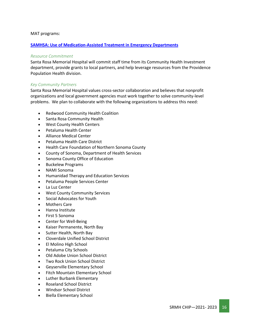#### MAT programs:

#### **[SAMHSA: Use of Medication-Assisted Treatment in Emergency Departments](https://store.samhsa.gov/sites/default/files/SAMHSA_Digital_Download/pep21-pl-guide-5.pdf)**

#### *Resource Commitment*

Santa Rosa Memorial Hospital will commit staff time from its Community Health Investment department, provide grants to local partners, and help leverage resources from the Providence Population Health division.

#### *Key Community Partners*

Santa Rosa Memorial Hospital values cross-sector collaboration and believes that nonprofit organizations and local government agencies must work together to solve community-level problems. We plan to collaborate with the following organizations to address this need:

- Redwood Community Health Coalition
- Santa Rosa Community Health
- West County Health Centers
- Petaluma Health Center
- Alliance Medical Center
- Petaluma Health Care District
- Health Care Foundation of Northern Sonoma County
- County of Sonoma, Department of Health Services
- Sonoma County Office of Education
- Buckelew Programs
- NAMI Sonoma
- Humanidad Therapy and Education Services
- Petaluma People Services Center
- La Luz Center
- West County Community Services
- Social Advocates for Youth
- Mothers Care
- Hanna Institute
- First 5 Sonoma
- Center for Well-Being
- Kaiser Permanente, North Bay
- Sutter Health, North Bay
- Cloverdale Unified School District
- El Molino High School
- Petaluma City Schools
- Old Adobe Union School District
- Two Rock Union School District
- Geyserville Elementary School
- Fitch Mountain Elementary School
- Luther Burbank Elementary
- Roseland School District
- Windsor School District
- Biella Elementary School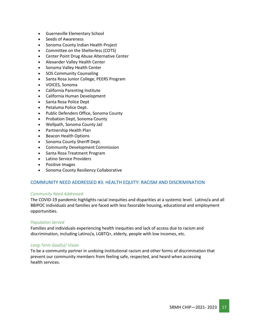- Guerneville Elementary School
- Seeds of Awareness
- Sonoma County Indian Health Project
- Committee on the Shelterless (COTS)
- Center Point Drug Abuse Alternative Center
- Alexander Valley Health Center
- Sonoma Valley Health Center
- SOS Community Counseling
- Santa Rosa Junior College, PEERS Program
- VOICES, Sonoma
- California Parenting Institute
- California Human Development
- Santa Rosa Police Dept
- Petaluma Police Dept.
- Public Defenders Office, Sonoma County
- Probation Dept, Sonoma County
- Wellpath, Sonoma County Jail
- Partnership Health Plan
- Beacon Health Options
- Sonoma County Sheriff Dept.
- Community Development Commission
- Santa Rosa Treatment Program
- Latino Service Providers
- Positive Images
- Sonoma County Resiliency Collaborative

#### COMMUNITY NEED ADDRESSED #3: HEALTH EQUITY: RACISM AND DISCRIMINATION

#### *Community Need Addressed*

The COVID-19 pandemic highlights racial inequities and disparities at a systemic level. Latino/a and all BBIPOC individuals and families are faced with less favorable housing, educational and employment opportunities.

#### *Population Served*

Families and individuals experiencing health inequities and lack of access due to racism and discrimination, including Latino/a, LGBTQ+, elderly, people with low incomes, etc.

#### *Long-Term Goal(s)/ Vision*

To be a community partner in undoing institutional racism and other forms of discrimination that prevent our community members from feeling safe, respected, and heard when accessing health services.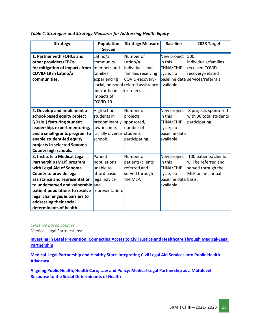| <b>Strategy</b>                   | <b>Population</b><br><b>Served</b> | <b>Strategy Measure</b>             | <b>Baseline</b>      | 2023 Target                      |
|-----------------------------------|------------------------------------|-------------------------------------|----------------------|----------------------------------|
|                                   |                                    |                                     |                      |                                  |
| 1. Partner with FQHCs and         | Latino/a                           | Number of                           | New project          | 500                              |
| other providers/CBOs              | community                          | Latino/a                            | in this              | individuals/families             |
| for mitigation of impacts from    | members and                        | individuals and                     | CHNA/CHIP            | received COVID-                  |
| COVID-19 in Latino/a              | families                           | families receiving                  | cycle; no            | recovery-related                 |
| communities.                      | experiencing                       | COVID-recovery-                     |                      | baseline data services/referrals |
|                                   |                                    | social, personal related assistance | available.           |                                  |
|                                   | and/or financialor referrals.      |                                     |                      |                                  |
|                                   | impacts of                         |                                     |                      |                                  |
|                                   | COVID-19.                          |                                     |                      |                                  |
| 2. Develop and implement a        | High school                        | Number of                           | New project          | 8 projects sponsored             |
| school-based equity project       | students in                        | projects                            | in this              | with 30 total students           |
| (¡Dale!) featuring student        | predominantly                      | sponsored,                          | CHNA/CHIP            | participating.                   |
| leadership, expert mentoring,     | low-income,                        | number of                           | cycle; no            |                                  |
| and a small-grants program to     | racially diverse                   | students                            | baseline data        |                                  |
| enable student-led equity         | schools.                           | participating.                      | available.           |                                  |
| projects in selected Sonoma       |                                    |                                     |                      |                                  |
| County high schools.              |                                    |                                     |                      |                                  |
| 3. Institute a Medical Legal      | Patient                            | Number of                           | New project          | 100 patients/clients             |
| Partnership (MLP) program         | populations                        | patients/clients                    | in this              | will be referred and             |
| with Legal Aid of Sonoma          | unable to                          | referred and                        | CHNA/CHIP            | served through the               |
| County to provide legal           | afford basic                       | served through                      | cycle; no            | MLP on an annual                 |
| assistance and representation     | legal advice                       | the MLP.                            | baseline data basis. |                                  |
| to underserved and vulnerable and |                                    |                                     | available.           |                                  |
| patient populations to resolve    | representation.                    |                                     |                      |                                  |
| legal challenges & barriers to    |                                    |                                     |                      |                                  |
| addressing their social           |                                    |                                     |                      |                                  |
| determinants of health.           |                                    |                                     |                      |                                  |

#### *Table 4. Strategies and Strategy Measures for Addressing Health Equity*

#### *Evidence Based Sources*

Medical Legal Partnerships:

**[Investing in Legal Prevention: Connecting Access to Civil Justice and Healthcare Through Medical-Legal](https://www.tandfonline.com/doi/abs/10.1080/01947648.2014.884430?journalCode=ulgm20)  [Partnership](https://www.tandfonline.com/doi/abs/10.1080/01947648.2014.884430?journalCode=ulgm20)**

**[Medical-Legal Partnership and Healthy Start: Integrating Civil Legal Aid Services into Public Health](https://www.tandfonline.com/doi/full/10.1080/01947648.2014.885333?src=recsys)  [Advocacy](https://www.tandfonline.com/doi/full/10.1080/01947648.2014.885333?src=recsys)**

**[Aligning Public Health, Health Care, Law and Policy: Medical-Legal Partnership as a Multilevel](https://heinonline.org/HOL/LandingPage?handle=hein.journals/jhbio8&div=17&id=&page=)  [Response to the Social Determinants of Health](https://heinonline.org/HOL/LandingPage?handle=hein.journals/jhbio8&div=17&id=&page=)**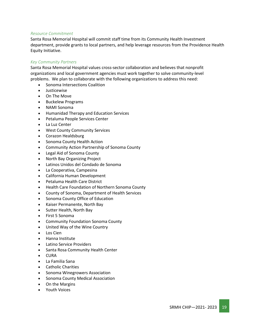#### *Resource Commitment*

Santa Rosa Memorial Hospital will commit staff time from its Community Health Investment department, provide grants to local partners, and help leverage resources from the Providence Health Equity Initiative.

#### *Key Community Partners*

Santa Rosa Memorial Hospital values cross-sector collaboration and believes that nonprofit organizations and local government agencies must work together to solve community-level problems. We plan to collaborate with the following organizations to address this need:

- Sonoma Intersections Coalition
- Justicewise
- On The Move
- Buckelew Programs
- NAMI Sonoma
- Humanidad Therapy and Education Services
- Petaluma People Services Center
- La Luz Center
- West County Community Services
- Corazon Healdsburg
- Sonoma County Health Action
- Community Action Partnership of Sonoma County
- Legal Aid of Sonoma County
- North Bay Organizing Project
- Latinos Unidos del Condado de Sonoma
- La Cooperativa, Campesina
- California Human Development
- Petaluma Health Care District
- Health Care Foundation of Northern Sonoma County
- County of Sonoma, Department of Health Services
- Sonoma County Office of Education
- Kaiser Permanente, North Bay
- Sutter Health, North Bay
- First 5 Sonoma
- Community Foundation Sonoma County
- United Way of the Wine Country
- Los Cien
- Hanna Institute
- Latino Service Providers
- Santa Rosa Community Health Center
- CURA
- La Familia Sana
- Catholic Charities
- Sonoma Winegrowers Association
- Sonoma County Medical Association
- On the Margins
- Youth Voices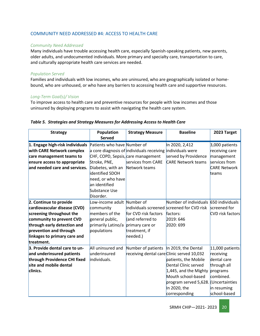#### COMMUNITY NEED ADDRESSED #4: ACCESS TO HEALTH CARE

#### *Community Need Addressed*

Many individuals have trouble accessing health care, especially Spanish-speaking patients, new parents, older adults, and undocumented individuals. More primary and specialty care, transportation to care, and culturally appropriate health care services are needed.

#### *Population Served*

Families and individuals with low incomes, who are uninsured, who are geographically isolated or homebound, who are unhoused, or who have any barriers to accessing health care and supportive resources.

#### *Long-Term Goal(s)/ Vision*

To improve access to health care and preventive resources for people with low incomes and those uninsured by deploying programs to assist with navigating the health care system.

| <b>Strategy</b>                                                                                                                                                                                                       | Population<br><b>Served</b>                                                                                                                                                                                 | <b>Strategy Measure</b>                                                                  | <b>Baseline</b>                                                                                                                                                         | 2023 Target                                                                                                        |
|-----------------------------------------------------------------------------------------------------------------------------------------------------------------------------------------------------------------------|-------------------------------------------------------------------------------------------------------------------------------------------------------------------------------------------------------------|------------------------------------------------------------------------------------------|-------------------------------------------------------------------------------------------------------------------------------------------------------------------------|--------------------------------------------------------------------------------------------------------------------|
| 1. Engage high-risk individuals<br>with CARE Network complex<br>care management teams to<br>ensure access to appropriate<br>and needed care and services.                                                             | Patients who have Number of<br>CHF, COPD, Sepsis, care management<br>Stroke, PNE,<br>Diabetes, with an Network teams<br>identified SDOH<br>need, or who have<br>an identified<br>Substance Use<br>Disorder. | a core diagnosis of individuals receiving individuals were<br>services from CARE         | In 2020, 2,412<br>served by Providence<br><b>CARE Network teams</b>                                                                                                     | 3,000 patients<br>receiving care<br>management<br>services from<br><b>CARE Network</b><br>teams                    |
| 2. Continue to provide<br>cardiovascular disease (CVD)<br>screening throughout the<br>community to prevent CVD<br>through early detection and<br>prevention and through<br>linkages to primary care and<br>treatment. | Low-income adult Number of<br>community<br>members of the<br>general public,<br>primarily Latino/a<br>populations                                                                                           | for CVD risk factors<br>(and referred to<br>primary care or<br>treatment, if<br>needed.) | Number of individuals 650 individuals<br>individuals screened screened for CVD risk<br>factors:<br>2019: 646<br>2020: 699                                               | screened for<br><b>CVD</b> risk factors                                                                            |
| 3. Provide dental care to un-<br>and underinsured patients<br>through Providence CHI fixed<br>site and mobile dental<br>clinics.                                                                                      | All uninsured and<br>underinsured<br>individuals.                                                                                                                                                           | Number of patients   In 2019, the Dental<br>receiving dental care Clinic served 10,032   | patients, the Mobile<br>Dental Clinic served<br>$1,445$ , and the Mighty<br>Mouth school-based<br>program served 5,628. (Uncertainties<br>In 2020, the<br>corresponding | 11,000 patients<br>receiving<br>dental care<br>through all<br>programs<br>combined.<br>in resuming<br>school-based |

#### *Table 5. Strategies and Strategy Measures for Addressing Access to Health Care*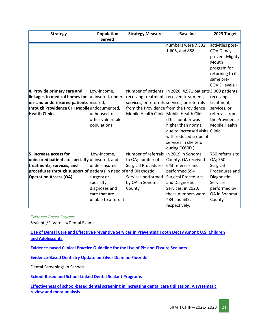| <b>Strategy</b>                                                  | Population           | <b>Strategy Measure</b>                       | <b>Baseline</b>                                             | 2023 Target      |
|------------------------------------------------------------------|----------------------|-----------------------------------------------|-------------------------------------------------------------|------------------|
|                                                                  | <b>Served</b>        |                                               |                                                             |                  |
|                                                                  |                      |                                               | numbers were 7,332,                                         | activities post- |
|                                                                  |                      |                                               | $1,605$ , and 888.                                          | COVID may        |
|                                                                  |                      |                                               |                                                             | prevent Mighty   |
|                                                                  |                      |                                               |                                                             | Mouth            |
|                                                                  |                      |                                               |                                                             | program for      |
|                                                                  |                      |                                               |                                                             | returning to its |
|                                                                  |                      |                                               |                                                             | same pre-        |
|                                                                  |                      |                                               |                                                             | COVID levels.)   |
| 4. Provide primary care and                                      | Low-income,          |                                               | Number of patients   In 2020, 4,971 patients 3,000 patients |                  |
| linkages to medical homes for                                    | uninsured, under-    | receiving treatment, received treatment,      |                                                             | receiving        |
| un- and underinsured patients insured,                           |                      | services, or referrals services, or referrals |                                                             | treatment,       |
| through Providence CHI Mobileundocumented,                       |                      | from the Providence from the Providence       |                                                             | services, or     |
| <b>Health Clinic.</b>                                            | unhoused, or         |                                               | Mobile Health Clinic Mobile Health Clinic.                  | referrals from   |
|                                                                  | other vulnerable     |                                               | This number was                                             | the Providence   |
|                                                                  | populations          |                                               | higher than normal                                          | Mobile Health    |
|                                                                  |                      |                                               | due to increased visits Clinic                              |                  |
|                                                                  |                      |                                               | with reduced scope of                                       |                  |
|                                                                  |                      |                                               | services in shelters                                        |                  |
|                                                                  |                      |                                               | during COVID.)                                              |                  |
| 5. Increase access for                                           | Low-income,          | Number of referrals                           | In 2019 in Sonoma                                           | 750 referrals to |
| uninsured patients to specialty uninsured, and                   |                      | to OA; number of                              | County, OA received                                         | OA; 750          |
| treatments, services, and                                        | under-insured        | Surgical Procedures                           | 643 referrals and                                           | Surgical         |
| procedures through support of patients in need of and Diagnostic |                      |                                               | performed 594                                               | Procedures and   |
| <b>Operation Access (OA).</b>                                    | surgery or           | Services performed                            | Surgical Procedures                                         | Diagnostic       |
|                                                                  | specialty            | by OA in Sonoma                               | and Diagnostic                                              | Services         |
|                                                                  | diagnoses and        | County                                        | Services; in 2020,                                          | performed by     |
|                                                                  | care that are        |                                               | these numbers were                                          | OA in Sonoma     |
|                                                                  | unable to afford it. |                                               | 484 and 539,                                                | County           |
|                                                                  |                      |                                               | respectively.                                               |                  |

*Evidence Based Sources*

Sealants/Fl Varnish/Dental Exams:

**[Use of Dental Care and Effective Preventive Services in Preventing Tooth Decay Among U.S. Children](https://www.cdc.gov/mmwr/preview/mmwrhtml/su6302a9.htm)  [and Adolescents](https://www.cdc.gov/mmwr/preview/mmwrhtml/su6302a9.htm)**

**[Evidence-based Clinical Practice Guideline for the Use of Pit-and-Fissure Sealants](https://www.aapd.org/assets/1/7/G_EBD-Sealants1.PDF)**

**[Evidence-Based Dentistry Update on Silver Diamine Fluoride](https://pubmed.ncbi.nlm.nih.gov/30447792/)**

Dental Screenings in Schools:

**[School-Based and School-Linked Dental Sealant Programs](https://www.cdc.gov/oralhealth/funded_programs/preventive-interventions/school.htm)**

**[Effectiveness of school-based dental screening in increasing dental care utilization: A systematic](https://pubmed.ncbi.nlm.nih.gov/30900669/)  [review and meta-analysis](https://pubmed.ncbi.nlm.nih.gov/30900669/)**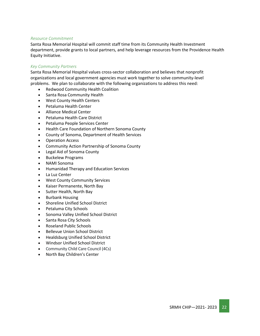#### *Resource Commitment*

Santa Rosa Memorial Hospital will commit staff time from its Community Health Investment department, provide grants to local partners, and help leverage resources from the Providence Health Equity Initiative.

#### *Key Community Partners*

Santa Rosa Memorial Hospital values cross-sector collaboration and believes that nonprofit organizations and local government agencies must work together to solve community-level problems. We plan to collaborate with the following organizations to address this need:

- Redwood Community Health Coalition
- Santa Rosa Community Health
- West County Health Centers
- Petaluma Health Center
- Alliance Medical Center
- Petaluma Health Care District
- Petaluma People Services Center
- Health Care Foundation of Northern Sonoma County
- County of Sonoma, Department of Health Services
- Operation Access
- Community Action Partnership of Sonoma County
- Legal Aid of Sonoma County
- Buckelew Programs
- NAMI Sonoma
- Humanidad Therapy and Education Services
- La Luz Center
- West County Community Services
- Kaiser Permanente, North Bay
- Sutter Health, North Bay
- Burbank Housing
- Shoreline Unified School District
- Petaluma City Schools
- Sonoma Valley Unified School District
- Santa Rosa City Schools
- Roseland Public Schools
- Bellevue Union School District
- Healdsburg Unified School District
- Windsor Unified School District
- Community Child Care Council (4Cs)
- North Bay Children's Center